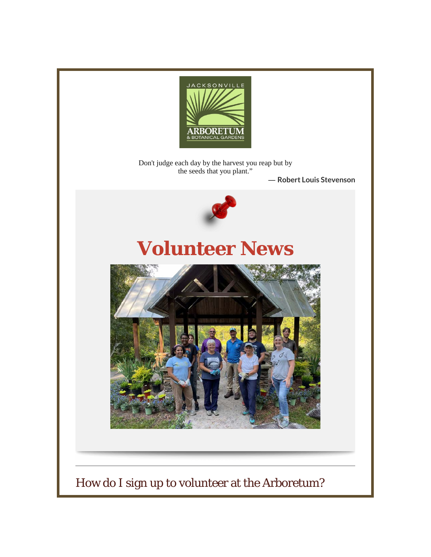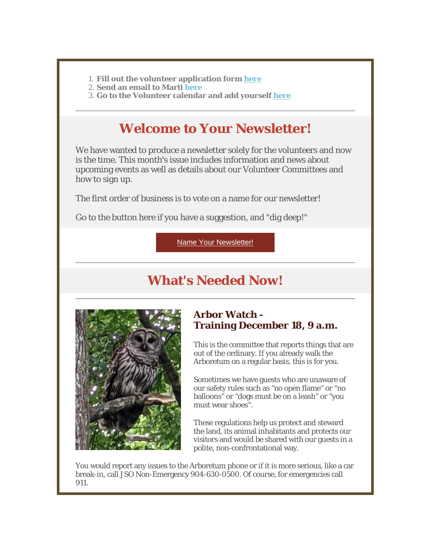- 1. **Fill out the volunteer application form** *[here](https://r20.rs6.net/tn.jsp?f=001gj47SrfoTxeskByyIlzAUvN9eOZWYYbi69HDIy1QtxfbXK66OUFOuzeBQtw5wczLoQKFDcPtcz9EY9R_8qkONkJIxonvqde1jZgoNCln4zKvRdVxZpZVtvaamxLdL9N3ovFtdePRE2BC65YpAbZS4XNQXpYTy-Tdj2Xrx_G6Va3QFa1piIMNqw==&c=5UJ5t8oC1h5HOR0KArZumDMd7-mbFOpYQgEAuSzBZNADnOW64BdkXg==&ch=x6bFBjkbhcvRadqPv12EOc3K0v_-60wgO1F_8gvrDfq8ELYYQuyqAQ==)*
- 2. **Send an email to Marti** *here*
- 3. **Go to the Volunteer calendar and add yourself** *[here](https://r20.rs6.net/tn.jsp?f=001gj47SrfoTxeskByyIlzAUvN9eOZWYYbi69HDIy1QtxfbXK66OUFOu_p2Jw2CWpGMLoS74l3bPCKtxaroQYxkDpXMMi27LuDFi3DPROYh-4XAXT-gQaqMYRXGazlGNWSC-WVa8F2PVaro1ZNbZxWUR1W9PAos6YamwvaED3gLCSk7-UEwzVCR0npRloEw-urbfg8hFvWxPeGeMV-tJc4zEp4QK9NUNddsrYfDRoQ3_co73GM9XKSYtBrGu7QENfwQGw2xN0_wGlhbEub-93MTFw==&c=5UJ5t8oC1h5HOR0KArZumDMd7-mbFOpYQgEAuSzBZNADnOW64BdkXg==&ch=x6bFBjkbhcvRadqPv12EOc3K0v_-60wgO1F_8gvrDfq8ELYYQuyqAQ==)*

# **Welcome to Your Newsletter!**

We have wanted to produce a newsletter solely for the volunteers and now is the time. This month's issue includes information and news about upcoming events as well as details about our Volunteer Committees and how to sign up.

The first order of business is to vote on a name for our newsletter!

Go to the button here if you have a suggestion, and "dig deep!"

[Name Your Newsletter!](https://r20.rs6.net/tn.jsp?f=001gj47SrfoTxeskByyIlzAUvN9eOZWYYbi69HDIy1QtxfbXK66OUFOu_p2Jw2CWpGM4HWqxWaids2CswY5hD5hA5rngHM3QG_h3_sW04MOeyms62ziuIVySmbphfRtO3JCiRulGyvoWxCq1I2ZNdQlY6_5xZerQxjX&c=5UJ5t8oC1h5HOR0KArZumDMd7-mbFOpYQgEAuSzBZNADnOW64BdkXg==&ch=x6bFBjkbhcvRadqPv12EOc3K0v_-60wgO1F_8gvrDfq8ELYYQuyqAQ==)

# **What's Needed Now!**



## **Arbor Watch - Training December 18, 9 a.m.**

This is the committee that reports things that are out of the ordinary. If you already walk the Arboretum on a regular basis, this is for you.

Sometimes we have guests who are unaware of our safety rules such as "no open flame" or "no balloons" or "dogs must be on a leash" or "you must wear shoes".

These regulations help us protect and steward the land, its animal inhabitants and protects our visitors and would be shared with our guests in a polite, non-confrontational way.

You would report any issues to the Arboretum phone or if it is more serious, like a car break-in, call JSO Non-Emergency 904-630-0500. Of course, for emergencies call 911.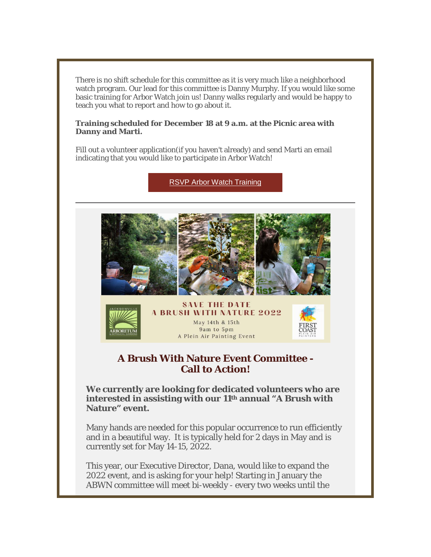There is no shift schedule for this committee as it is very much like a neighborhood watch program. Our lead for this committee is Danny Murphy. If you would like some basic training for Arbor Watch join us! Danny walks regularly and would be happy to teach you what to report and how to go about it.

#### **Training scheduled for December 18 at 9 a.m. at the Picnic area with Danny and Marti.**

Fill out a volunteer application(if you haven't already) and send Marti an email indicating that you would like to participate in Arbor Watch!

[RSVP Arbor Watch Training](https://r20.rs6.net/tn.jsp?f=001gj47SrfoTxeskByyIlzAUvN9eOZWYYbi69HDIy1QtxfbXK66OUFOu_p2Jw2CWpGM2l9F0qnpWqXVbU4nkJghl5ztWiPurX55MtuAuRpT2TMmrE9podj50qvEU-iC9pwuz49QHB0umc2cTi0NfB-mPPlL9aPNfqtN&c=5UJ5t8oC1h5HOR0KArZumDMd7-mbFOpYQgEAuSzBZNADnOW64BdkXg==&ch=x6bFBjkbhcvRadqPv12EOc3K0v_-60wgO1F_8gvrDfq8ELYYQuyqAQ==)





**SAVE THE DATE A BRUSH WITH NATURE 2022** May 14th & 15th 9am to 5pm A Plein Air Painting Event



## **A Brush With Nature Event Committee - Call to Action!**

**We currently are looking for dedicated volunteers who are interested in assisting with our 11th annual "A Brush with Nature" event.**

Many hands are needed for this popular occurrence to run efficiently and in a beautiful way. It is typically held for 2 days in May and is currently set for May 14-15, 2022.

This year, our Executive Director, Dana, would like to expand the 2022 event, and is asking for your help! Starting in January the ABWN committee will meet bi-weekly - every two weeks until the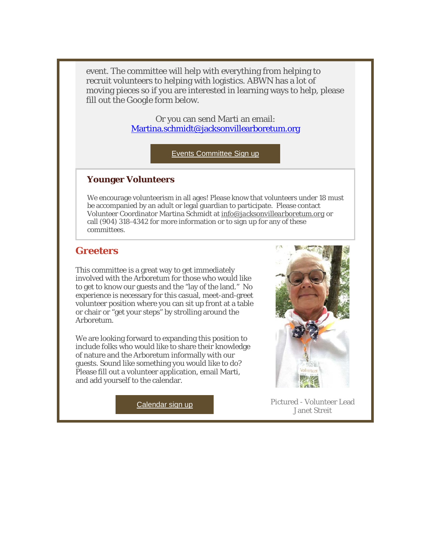event. The committee will help with everything from helping to recruit volunteers to helping with logistics. ABWN has a lot of moving pieces so if you are interested in learning ways to help, please fill out the Google form below.

> Or you can send Marti an email: [Martina.schmidt@jacksonvillearboretum.org](mailto:Martina.schmidt@jacksonvillearboretum.org)

> > [Events Committee Sign up](https://r20.rs6.net/tn.jsp?f=001gj47SrfoTxeskByyIlzAUvN9eOZWYYbi69HDIy1QtxfbXK66OUFOu_p2Jw2CWpGMqmxweoktJFXM9U6HOwiJ1dOkc5wiMxRnmluGB1TIVhIhi4JN4fZaM_Dd5gRoG-VcKAK24qCFiSXtDvs4QFzn6ItPzbDwZRCz&c=5UJ5t8oC1h5HOR0KArZumDMd7-mbFOpYQgEAuSzBZNADnOW64BdkXg==&ch=x6bFBjkbhcvRadqPv12EOc3K0v_-60wgO1F_8gvrDfq8ELYYQuyqAQ==)

### **Younger Volunteers**

We encourage volunteerism in all ages! Please know that volunteers under 18 must be accompanied by an adult or legal guardian to participate. Please contact Volunteer Coordinator Martina Schmidt at *[info@jacksonvillearboretum.org](mailto:info@jacksonvillearboretum.org)* or call (904) 318-4342 for more information or to sign up for any of these committees.

## **Greeters**

This committee is a great way to get immediately involved with the Arboretum for those who would like to get to know our guests and the "lay of the land." No experience is necessary for this casual, meet-and-greet volunteer position where you can sit up front at a table or chair or "get your steps" by strolling around the Arboretum.

We are looking forward to expanding this position to include folks who would like to share their knowledge of nature and the Arboretum informally with our guests. Sound like something you would like to do? Please fill out a volunteer application, email Marti, and add yourself to the calendar.



[Calendar sign up](https://r20.rs6.net/tn.jsp?f=001gj47SrfoTxeskByyIlzAUvN9eOZWYYbi69HDIy1QtxfbXK66OUFOu_p2Jw2CWpGMLoS74l3bPCKtxaroQYxkDpXMMi27LuDFi3DPROYh-4XAXT-gQaqMYRXGazlGNWSC-WVa8F2PVaro1ZNbZxWUR1W9PAos6YamwvaED3gLCSk7-UEwzVCR0npRloEw-urbfg8hFvWxPeGeMV-tJc4zEp4QK9NUNddsrYfDRoQ3_co73GM9XKSYtBrGu7QENfwQGw2xN0_wGlhbEub-93MTFw==&c=5UJ5t8oC1h5HOR0KArZumDMd7-mbFOpYQgEAuSzBZNADnOW64BdkXg==&ch=x6bFBjkbhcvRadqPv12EOc3K0v_-60wgO1F_8gvrDfq8ELYYQuyqAQ==) **Pictured** - Volunteer Lead Janet Streit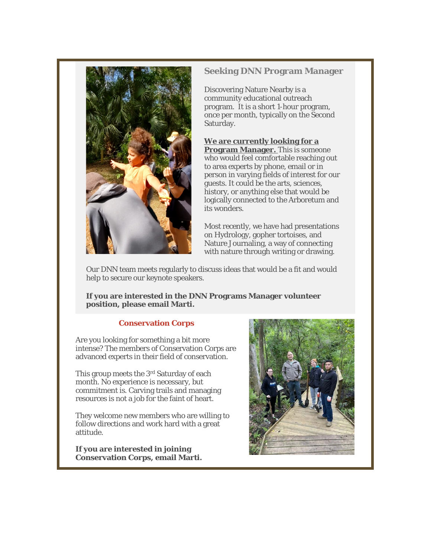

#### **Seeking DNN Program Manager**

Discovering Nature Nearby is a community educational outreach program. It is a short 1-hour program, once per month, typically on the Second Saturday.

**We are currently looking for a Program Manager.** This is someone who would feel comfortable reaching out to area experts by phone, email or in person in varying fields of interest for our guests. It could be the arts, sciences, history, or anything else that would be logically connected to the Arboretum and its wonders.

Most recently, we have had presentations on Hydrology, gopher tortoises, and Nature Journaling, a way of connecting with nature through writing or drawing.

Our DNN team meets regularly to discuss ideas that would be a fit and would help to secure our keynote speakers.

**If you are interested in the DNN Programs Manager volunteer position, please email Marti.**

### **Conservation Corps**

Are you looking for something a bit more intense? The members of Conservation Corps are advanced experts in their field of conservation.

This group meets the 3rd Saturday of each month. No experience is necessary, but commitment is. Carving trails and managing resources is not a job for the faint of heart.

They welcome new members who are willing to follow directions and work hard with a great attitude.

**If you are interested in joining Conservation Corps, email Marti.**

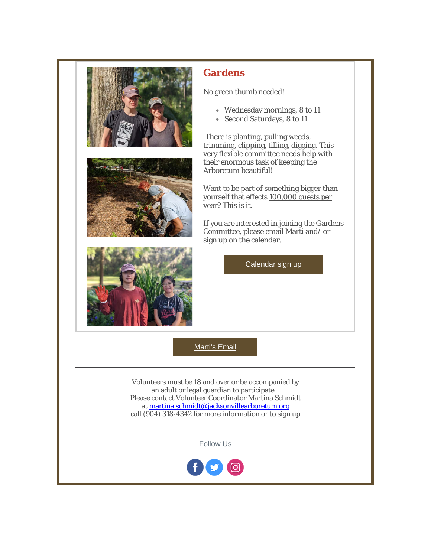

## **Gardens**

No green thumb needed!

- Wednesday mornings, 8 to 11
- Second Saturdays, 8 to 11

There is planting, pulling weeds, trimming, clipping, tilling, digging. This very flexible committee needs help with their enormous task of keeping the Arboretum beautiful!

Want to be part of something bigger than yourself that effects 100,000 guests per year? This is it.

If you are interested in joining the Gardens Committee, please email Marti and/ or sign up on the calendar.

[Calendar sign up](https://r20.rs6.net/tn.jsp?f=001gj47SrfoTxeskByyIlzAUvN9eOZWYYbi69HDIy1QtxfbXK66OUFOu_p2Jw2CWpGMLoS74l3bPCKtxaroQYxkDpXMMi27LuDFi3DPROYh-4XAXT-gQaqMYRXGazlGNWSC-WVa8F2PVaro1ZNbZxWUR1W9PAos6YamwvaED3gLCSk7-UEwzVCR0npRloEw-urbfg8hFvWxPeGeMV-tJc4zEp4QK9NUNddsrYfDRoQ3_co73GM9XKSYtBrGu7QENfwQGw2xN0_wGlhbEub-93MTFw==&c=5UJ5t8oC1h5HOR0KArZumDMd7-mbFOpYQgEAuSzBZNADnOW64BdkXg==&ch=x6bFBjkbhcvRadqPv12EOc3K0v_-60wgO1F_8gvrDfq8ELYYQuyqAQ==)

[Marti's Email](mailto:devsp1445@gmail.com)

Volunteers must be 18 and over or be accompanied by an adult or legal guardian to participate. Please contact Volunteer Coordinator Martina Schmidt at [martina.schmidt@jacksonvillearboretum.org](mailto:martina.schmidt@jacksonvillearboretum.org) call (904) 318-4342 for more information or to sign up

Follow Us